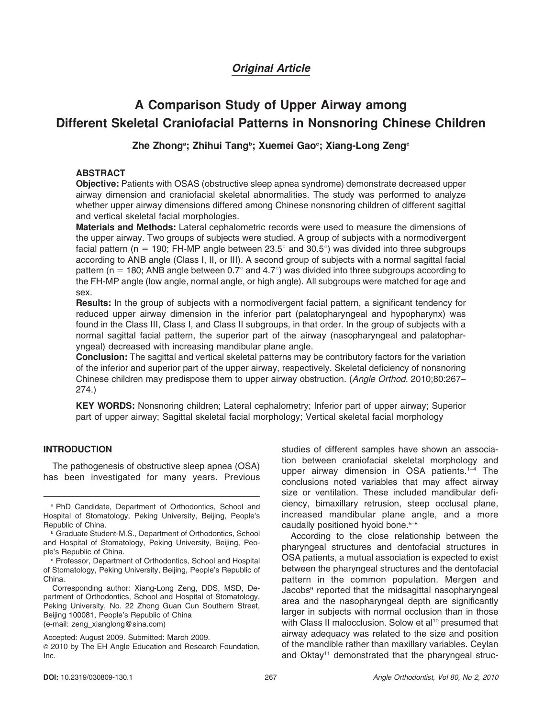# Original Article

# A Comparison Study of Upper Airway among Different Skeletal Craniofacial Patterns in Nonsnoring Chinese Children

# Zhe Zhongª; Zhihui Tangʰ; Xuemei Gao°; Xiang-Long Zeng°

# ABSTRACT

Objective: Patients with OSAS (obstructive sleep apnea syndrome) demonstrate decreased upper airway dimension and craniofacial skeletal abnormalities. The study was performed to analyze whether upper airway dimensions differed among Chinese nonsnoring children of different sagittal and vertical skeletal facial morphologies.

Materials and Methods: Lateral cephalometric records were used to measure the dimensions of the upper airway. Two groups of subjects were studied. A group of subjects with a normodivergent facial pattern (n = 190; FH-MP angle between 23.5 $^{\circ}$  and 30.5 $^{\circ}$ ) was divided into three subgroups according to ANB angle (Class I, II, or III). A second group of subjects with a normal sagittal facial pattern (n = 180; ANB angle between  $0.7^{\circ}$  and  $4.7^{\circ}$ ) was divided into three subgroups according to the FH-MP angle (low angle, normal angle, or high angle). All subgroups were matched for age and sex.

Results: In the group of subjects with a normodivergent facial pattern, a significant tendency for reduced upper airway dimension in the inferior part (palatopharyngeal and hypopharynx) was found in the Class III, Class I, and Class II subgroups, in that order. In the group of subjects with a normal sagittal facial pattern, the superior part of the airway (nasopharyngeal and palatopharyngeal) decreased with increasing mandibular plane angle.

**Conclusion:** The sagittal and vertical skeletal patterns may be contributory factors for the variation of the inferior and superior part of the upper airway, respectively. Skeletal deficiency of nonsnoring Chinese children may predispose them to upper airway obstruction. (Angle Orthod. 2010;80:267– 274.)

KEY WORDS: Nonsnoring children; Lateral cephalometry; Inferior part of upper airway; Superior part of upper airway; Sagittal skeletal facial morphology; Vertical skeletal facial morphology

## INTRODUCTION

The pathogenesis of obstructive sleep apnea (OSA) has been investigated for many years. Previous studies of different samples have shown an association between craniofacial skeletal morphology and upper airway dimension in OSA patients.<sup>1-4</sup> The conclusions noted variables that may affect airway size or ventilation. These included mandibular deficiency, bimaxillary retrusion, steep occlusal plane, increased mandibular plane angle, and a more caudally positioned hyoid bone.<sup>5-8</sup>

According to the close relationship between the pharyngeal structures and dentofacial structures in OSA patients, a mutual association is expected to exist between the pharyngeal structures and the dentofacial pattern in the common population. Mergen and Jacobs9 reported that the midsagittal nasopharyngeal area and the nasopharyngeal depth are significantly larger in subjects with normal occlusion than in those with Class II malocclusion. Solow et al<sup>10</sup> presumed that airway adequacy was related to the size and position of the mandible rather than maxillary variables. Ceylan and Oktay<sup>11</sup> demonstrated that the pharyngeal struc-

<sup>a</sup> PhD Candidate, Department of Orthodontics, School and Hospital of Stomatology, Peking University, Beijing, People's Republic of China.

**b** Graduate Student-M.S., Department of Orthodontics, School and Hospital of Stomatology, Peking University, Beijing, People's Republic of China.

<sup>c</sup> Professor, Department of Orthodontics, School and Hospital of Stomatology, Peking University, Beijing, People's Republic of China.

Corresponding author: Xiang-Long Zeng, DDS, MSD, Department of Orthodontics, School and Hospital of Stomatology, Peking University, No. 22 Zhong Guan Cun Southern Street, Beijing 100081, People's Republic of China (e-mail: zeng\_xianglong@sina.com)

Accepted: August 2009. Submitted: March 2009. <sup>G</sup> 2010 by The EH Angle Education and Research Foundation, Inc.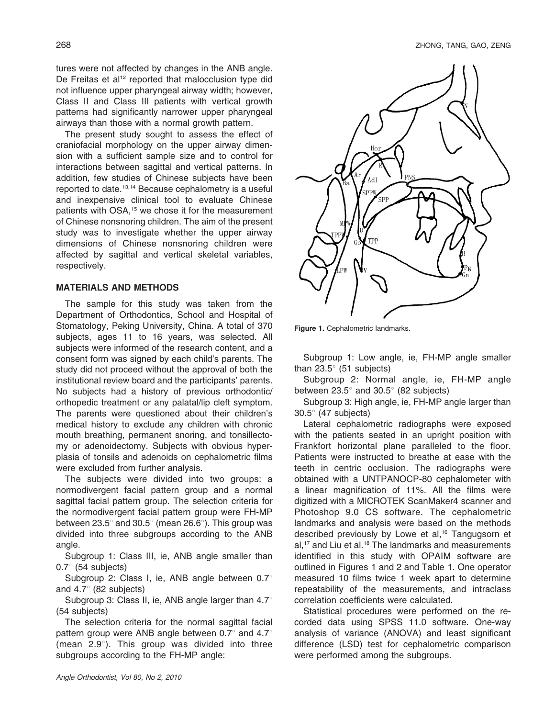tures were not affected by changes in the ANB angle. De Freitas et al<sup>12</sup> reported that malocclusion type did not influence upper pharyngeal airway width; however, Class II and Class III patients with vertical growth patterns had significantly narrower upper pharyngeal airways than those with a normal growth pattern.

The present study sought to assess the effect of craniofacial morphology on the upper airway dimension with a sufficient sample size and to control for interactions between sagittal and vertical patterns. In addition, few studies of Chinese subjects have been reported to date.13,14 Because cephalometry is a useful and inexpensive clinical tool to evaluate Chinese patients with OSA,<sup>15</sup> we chose it for the measurement of Chinese nonsnoring children. The aim of the present study was to investigate whether the upper airway dimensions of Chinese nonsnoring children were affected by sagittal and vertical skeletal variables, respectively.

# MATERIALS AND METHODS

The sample for this study was taken from the Department of Orthodontics, School and Hospital of Stomatology, Peking University, China. A total of 370 subjects, ages 11 to 16 years, was selected. All subjects were informed of the research content, and a consent form was signed by each child's parents. The study did not proceed without the approval of both the institutional review board and the participants' parents. No subjects had a history of previous orthodontic/ orthopedic treatment or any palatal/lip cleft symptom. The parents were questioned about their children's medical history to exclude any children with chronic mouth breathing, permanent snoring, and tonsillectomy or adenoidectomy. Subjects with obvious hyperplasia of tonsils and adenoids on cephalometric films were excluded from further analysis.

The subjects were divided into two groups: a normodivergent facial pattern group and a normal sagittal facial pattern group. The selection criteria for the normodivergent facial pattern group were FH-MP between 23.5 $^{\circ}$  and 30.5 $^{\circ}$  (mean 26.6 $^{\circ}$ ). This group was divided into three subgroups according to the ANB angle.

Subgroup 1: Class III, ie, ANB angle smaller than  $0.7^{\circ}$  (54 subjects)

Subgroup 2: Class I, ie, ANB angle between  $0.7^{\circ}$ and  $4.7^{\circ}$  (82 subjects)

Subgroup 3: Class II, ie, ANB angle larger than  $4.7^{\circ}$ (54 subjects)

The selection criteria for the normal sagittal facial pattern group were ANB angle between 0.7 $^{\circ}$  and 4.7 $^{\circ}$ (mean  $2.9^{\circ}$ ). This group was divided into three subgroups according to the FH-MP angle:



Figure 1. Cephalometric landmarks.

Subgroup 1: Low angle, ie, FH-MP angle smaller than  $23.5^{\circ}$  (51 subjects)

Subgroup 2: Normal angle, ie, FH-MP angle between  $23.5^{\circ}$  and  $30.5^{\circ}$  (82 subjects)

Subgroup 3: High angle, ie, FH-MP angle larger than  $30.5^\circ$  (47 subjects)

Lateral cephalometric radiographs were exposed with the patients seated in an upright position with Frankfort horizontal plane paralleled to the floor. Patients were instructed to breathe at ease with the teeth in centric occlusion. The radiographs were obtained with a UNTPANOCP-80 cephalometer with a linear magnification of 11%. All the films were digitized with a MICROTEK ScanMaker4 scanner and Photoshop 9.0 CS software. The cephalometric landmarks and analysis were based on the methods described previously by Lowe et al,<sup>16</sup> Tangugsorn et al,<sup>17</sup> and Liu et al.<sup>18</sup> The landmarks and measurements identified in this study with OPAIM software are outlined in Figures 1 and 2 and Table 1. One operator measured 10 films twice 1 week apart to determine repeatability of the measurements, and intraclass correlation coefficients were calculated.

Statistical procedures were performed on the recorded data using SPSS 11.0 software. One-way analysis of variance (ANOVA) and least significant difference (LSD) test for cephalometric comparison were performed among the subgroups.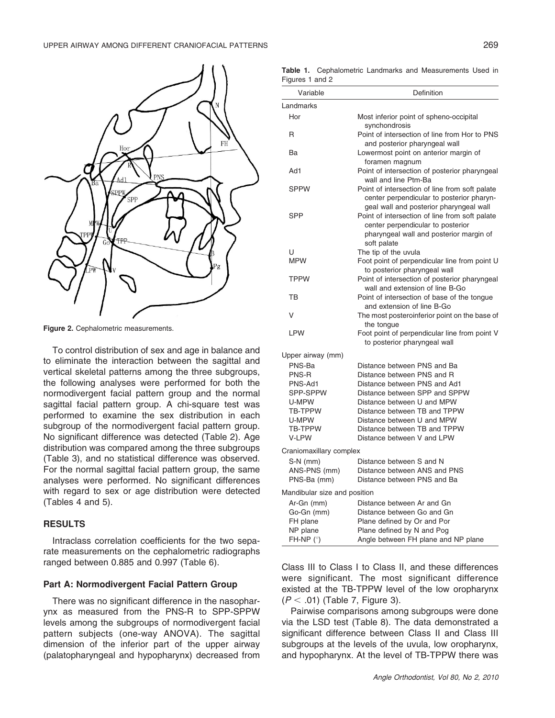

Figure 2. Cephalometric measurements.

To control distribution of sex and age in balance and to eliminate the interaction between the sagittal and vertical skeletal patterns among the three subgroups, the following analyses were performed for both the normodivergent facial pattern group and the normal sagittal facial pattern group. A chi-square test was performed to examine the sex distribution in each subgroup of the normodivergent facial pattern group. No significant difference was detected (Table 2). Age distribution was compared among the three subgroups (Table 3), and no statistical difference was observed. For the normal sagittal facial pattern group, the same analyses were performed. No significant differences with regard to sex or age distribution were detected (Tables 4 and 5).

# **RESULTS**

Intraclass correlation coefficients for the two separate measurements on the cephalometric radiographs ranged between 0.885 and 0.997 (Table 6).

# Part A: Normodivergent Facial Pattern Group

There was no significant difference in the nasopharynx as measured from the PNS-R to SPP-SPPW levels among the subgroups of normodivergent facial pattern subjects (one-way ANOVA). The sagittal dimension of the inferior part of the upper airway (palatopharyngeal and hypopharynx) decreased from

Table 1. Cephalometric Landmarks and Measurements Used in Figures 1 and 2

| Variable                                | Definition                                                                                                                                    |
|-----------------------------------------|-----------------------------------------------------------------------------------------------------------------------------------------------|
| Landmarks                               |                                                                                                                                               |
| Hor                                     | Most inferior point of spheno-occipital<br>synchondrosis                                                                                      |
| R                                       | Point of intersection of line from Hor to PNS<br>and posterior pharyngeal wall                                                                |
| Ba                                      | Lowermost point on anterior margin of<br>foramen magnum                                                                                       |
| Ad1                                     | Point of intersection of posterior pharyngeal<br>wall and line Ptm-Ba                                                                         |
| <b>SPPW</b>                             | Point of intersection of line from soft palate<br>center perpendicular to posterior pharyn-<br>geal wall and posterior pharyngeal wall        |
| <b>SPP</b>                              | Point of intersection of line from soft palate<br>center perpendicular to posterior<br>pharyngeal wall and posterior margin of<br>soft palate |
| U                                       | The tip of the uvula                                                                                                                          |
| <b>MPW</b>                              | Foot point of perpendicular line from point U<br>to posterior pharyngeal wall                                                                 |
| <b>TPPW</b>                             | Point of intersection of posterior pharyngeal<br>wall and extension of line B-Go                                                              |
| ТB                                      | Point of intersection of base of the tonque<br>and extension of line B-Go                                                                     |
| V                                       | The most posteroinferior point on the base of<br>the tongue                                                                                   |
| <b>LPW</b>                              | Foot point of perpendicular line from point V<br>to posterior pharyngeal wall                                                                 |
| Upper airway (mm)                       |                                                                                                                                               |
| PNS-Ba                                  | Distance between PNS and Ba                                                                                                                   |
| PNS-R                                   | Distance between PNS and R                                                                                                                    |
| PNS-Ad1                                 | Distance between PNS and Ad1                                                                                                                  |
| SPP-SPPW                                | Distance between SPP and SPPW                                                                                                                 |
| U-MPW                                   | Distance between U and MPW                                                                                                                    |
| TB-TPPW                                 | Distance between TB and TPPW                                                                                                                  |
| U-MPW                                   | Distance between U and MPW                                                                                                                    |
| TB-TPPW                                 | Distance between TB and TPPW                                                                                                                  |
| V-LPW                                   | Distance between V and LPW                                                                                                                    |
| Craniomaxillary complex                 |                                                                                                                                               |
| S-N (mm)<br>ANS-PNS (mm)<br>PNS-Ba (mm) | Distance between S and N<br>Distance between ANS and PNS<br>Distance between PNS and Ba                                                       |
| Mandibular size and position            |                                                                                                                                               |
| Ar-Gn (mm)                              | Distance between Ar and Gn                                                                                                                    |
| Go-Gn (mm)                              | Distance between Go and Gn                                                                                                                    |
| FH plane                                | Plane defined by Or and Por                                                                                                                   |
| NP plane                                | Plane defined by N and Pog                                                                                                                    |
| $FH-NP (°)$                             | Angle between FH plane and NP plane                                                                                                           |

Class III to Class I to Class II, and these differences were significant. The most significant difference existed at the TB-TPPW level of the low oropharynx  $(P < .01)$  (Table 7, Figure 3).

Pairwise comparisons among subgroups were done via the LSD test (Table 8). The data demonstrated a significant difference between Class II and Class III subgroups at the levels of the uvula, low oropharynx, and hypopharynx. At the level of TB-TPPW there was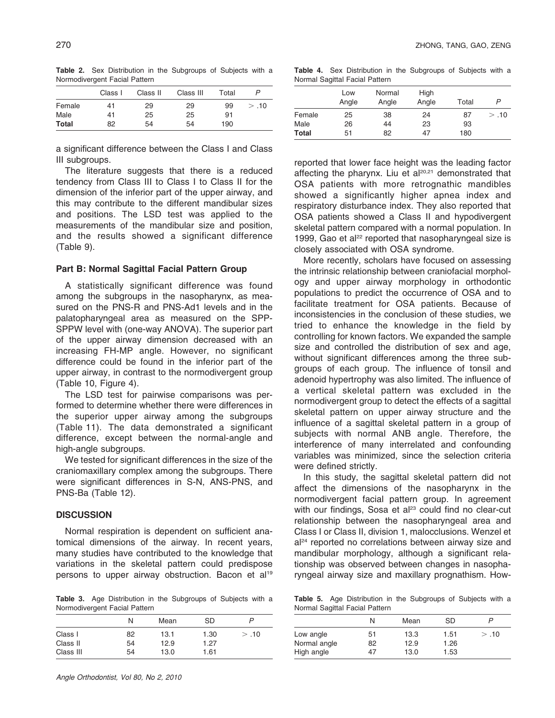Table 2. Sex Distribution in the Subgroups of Subjects with a Normodivergent Facial Pattern

|              | Class I | Class II | Class III | Total | P    |
|--------------|---------|----------|-----------|-------|------|
| Female       | 41      | 29       | 29        | 99    | > 10 |
| Male         | 41      | 25       | 25        | 91    |      |
| <b>Total</b> | 82      | 54       | 54        | 190   |      |

a significant difference between the Class I and Class III subgroups.

The literature suggests that there is a reduced tendency from Class III to Class I to Class II for the dimension of the inferior part of the upper airway, and this may contribute to the different mandibular sizes and positions. The LSD test was applied to the measurements of the mandibular size and position, and the results showed a significant difference (Table 9).

#### Part B: Normal Sagittal Facial Pattern Group

A statistically significant difference was found among the subgroups in the nasopharynx, as measured on the PNS-R and PNS-Ad1 levels and in the palatopharyngeal area as measured on the SPP-SPPW level with (one-way ANOVA). The superior part of the upper airway dimension decreased with an increasing FH-MP angle. However, no significant difference could be found in the inferior part of the upper airway, in contrast to the normodivergent group (Table 10, Figure 4).

The LSD test for pairwise comparisons was performed to determine whether there were differences in the superior upper airway among the subgroups (Table 11). The data demonstrated a significant difference, except between the normal-angle and high-angle subgroups.

We tested for significant differences in the size of the craniomaxillary complex among the subgroups. There were significant differences in S-N, ANS-PNS, and PNS-Ba (Table 12).

#### **DISCUSSION**

Normal respiration is dependent on sufficient anatomical dimensions of the airway. In recent years, many studies have contributed to the knowledge that variations in the skeletal pattern could predispose persons to upper airway obstruction. Bacon et al<sup>19</sup>

Table 3. Age Distribution in the Subgroups of Subjects with a Normodivergent Facial Pattern

|           | N  | Mean | <b>SD</b> |       |
|-----------|----|------|-----------|-------|
| Class I   | 82 | 13.1 | 1.30      | > .10 |
| Class II  | 54 | 12.9 | 1.27      |       |
| Class III | 54 | 13.0 | 1.61      |       |

Table 4. Sex Distribution in the Subgroups of Subjects with a Normal Sagittal Facial Pattern

|              | Low<br>Angle | Normal<br>Angle | High<br>Angle | Total | P     |
|--------------|--------------|-----------------|---------------|-------|-------|
| Female       | 25           | 38              | 24            | 87    | > .10 |
| Male         | 26           | 44              | 23            | 93    |       |
| <b>Total</b> | 51           | 82              | 47            | 180   |       |

reported that lower face height was the leading factor affecting the pharynx. Liu et al<sup>20,21</sup> demonstrated that OSA patients with more retrognathic mandibles showed a significantly higher apnea index and respiratory disturbance index. They also reported that OSA patients showed a Class II and hypodivergent skeletal pattern compared with a normal population. In 1999, Gao et al $^{22}$  reported that nasopharyngeal size is closely associated with OSA syndrome.

More recently, scholars have focused on assessing the intrinsic relationship between craniofacial morphology and upper airway morphology in orthodontic populations to predict the occurrence of OSA and to facilitate treatment for OSA patients. Because of inconsistencies in the conclusion of these studies, we tried to enhance the knowledge in the field by controlling for known factors. We expanded the sample size and controlled the distribution of sex and age, without significant differences among the three subgroups of each group. The influence of tonsil and adenoid hypertrophy was also limited. The influence of a vertical skeletal pattern was excluded in the normodivergent group to detect the effects of a sagittal skeletal pattern on upper airway structure and the influence of a sagittal skeletal pattern in a group of subjects with normal ANB angle. Therefore, the interference of many interrelated and confounding variables was minimized, since the selection criteria were defined strictly.

In this study, the sagittal skeletal pattern did not affect the dimensions of the nasopharynx in the normodivergent facial pattern group. In agreement with our findings, Sosa et al<sup>23</sup> could find no clear-cut relationship between the nasopharyngeal area and Class I or Class II, division 1, malocclusions. Wenzel et  $a^{24}$  reported no correlations between airway size and mandibular morphology, although a significant relationship was observed between changes in nasopharyngeal airway size and maxillary prognathism. How-

Table 5. Age Distribution in the Subgroups of Subjects with a Normal Sagittal Facial Pattern

|              | N  | Mean | SD   |       |
|--------------|----|------|------|-------|
| Low angle    | 51 | 13.3 | 1.51 | > .10 |
| Normal angle | 82 | 12.9 | 1.26 |       |
| High angle   | 47 | 13.0 | 1.53 |       |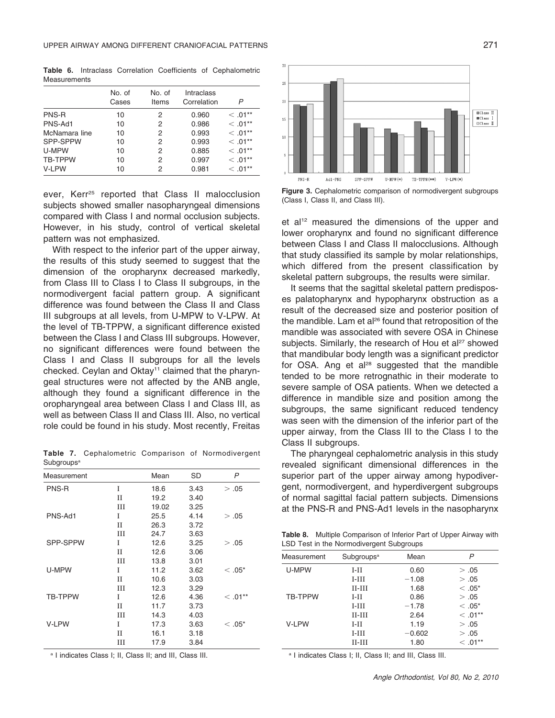Table 6. Intraclass Correlation Coefficients of Cephalometric Measurements

|               | No. of<br>Cases | No. of<br>Items | Intraclass<br>Correlation | P          |
|---------------|-----------------|-----------------|---------------------------|------------|
| PNS-R         | 10              | 2               | 0.960                     | $< 0.01**$ |
| PNS-Ad1       | 10              | 2               | 0.986                     | $<.01***$  |
| McNamara line | 10              | 2               | 0.993                     | $<.01***$  |
| SPP-SPPW      | 10              | 2               | 0.993                     | $<.01***$  |
| U-MPW         | 10              | 2               | 0.885                     | $< 0.01**$ |
| TB-TPPW       | 10              | 2               | 0.997                     | $<.01***$  |
| V-LPW         | 10              | 2               | 0.981                     | $< 0.01**$ |

ever, Kerr<sup>25</sup> reported that Class II malocclusion subjects showed smaller nasopharyngeal dimensions compared with Class I and normal occlusion subjects. However, in his study, control of vertical skeletal pattern was not emphasized.

With respect to the inferior part of the upper airway, the results of this study seemed to suggest that the dimension of the oropharynx decreased markedly, from Class III to Class I to Class II subgroups, in the normodivergent facial pattern group. A significant difference was found between the Class II and Class III subgroups at all levels, from U-MPW to V-LPW. At the level of TB-TPPW, a significant difference existed between the Class I and Class III subgroups. However, no significant differences were found between the Class I and Class II subgroups for all the levels checked. Ceylan and Oktay<sup>11</sup> claimed that the pharyngeal structures were not affected by the ANB angle, although they found a significant difference in the oropharyngeal area between Class I and Class III, as well as between Class II and Class III. Also, no vertical role could be found in his study. Most recently, Freitas

Table 7. Cephalometric Comparison of Normodivergent **Subgroups<sup>a</sup>** 

| Measurement    |             | Mean  | SD   | P          |
|----------------|-------------|-------|------|------------|
| PNS-R          | T           | 18.6  | 3.43 | > .05      |
|                | $_{\rm II}$ | 19.2  | 3.40 |            |
|                | Ш           | 19.02 | 3.25 |            |
| PNS-Ad1        | T           | 25.5  | 4.14 | > .05      |
|                | $_{\rm II}$ | 26.3  | 3.72 |            |
|                | Ш           | 24.7  | 3.63 |            |
| SPP-SPPW       | T           | 12.6  | 3.25 | > .05      |
|                | $_{\rm II}$ | 12.6  | 3.06 |            |
|                | Ш           | 13.8  | 3.01 |            |
| U-MPW          | T           | 11.2  | 3.62 | $<.05*$    |
|                | $_{\rm II}$ | 10.6  | 3.03 |            |
|                | Ш           | 12.3  | 3.29 |            |
| <b>TB-TPPW</b> | I           | 12.6  | 4.36 | $< 0.01**$ |
|                | $_{\rm II}$ | 11.7  | 3.73 |            |
|                | Ш           | 14.3  | 4.03 |            |
| V-LPW          | T           | 17.3  | 3.63 | $<.05*$    |
|                | $_{\rm II}$ | 16.1  | 3.18 |            |
|                | Ш           | 17.9  | 3.84 |            |

<sup>a</sup> I indicates Class I; II, Class II; and III, Class III.



Figure 3. Cephalometric comparison of normodivergent subgroups (Class I, Class II, and Class III).

et al<sup>12</sup> measured the dimensions of the upper and lower oropharynx and found no significant difference between Class I and Class II malocclusions. Although that study classified its sample by molar relationships, which differed from the present classification by skeletal pattern subgroups, the results were similar.

It seems that the sagittal skeletal pattern predisposes palatopharynx and hypopharynx obstruction as a result of the decreased size and posterior position of the mandible. Lam et al<sup>26</sup> found that retroposition of the mandible was associated with severe OSA in Chinese subjects. Similarly, the research of Hou et al<sup>27</sup> showed that mandibular body length was a significant predictor for OSA. Ang et  $a^{28}$  suggested that the mandible tended to be more retrognathic in their moderate to severe sample of OSA patients. When we detected a difference in mandible size and position among the subgroups, the same significant reduced tendency was seen with the dimension of the inferior part of the upper airway, from the Class III to the Class I to the Class II subgroups.

The pharyngeal cephalometric analysis in this study revealed significant dimensional differences in the superior part of the upper airway among hypodivergent, normodivergent, and hyperdivergent subgroups of normal sagittal facial pattern subjects. Dimensions at the PNS-R and PNS-Ad1 levels in the nasopharynx

Table 8. Multiple Comparison of Inferior Part of Upper Airway with LSD Test in the Normodivergent Subgroups

| Measurement    | Subgroups <sup>a</sup> | Mean     | P          |
|----------------|------------------------|----------|------------|
| U-MPW          | $I-II$                 | 0.60     | > .05      |
|                | $I-III$                | $-1.08$  | > .05      |
|                | $II$ - $III$           | 1.68     | $<.05*$    |
| <b>TB-TPPW</b> | $I-II$                 | 0.86     | > .05      |
|                | $I-III$                | $-1.78$  | $<.05*$    |
|                | $II$ - $III$           | 2.64     | $< 0.01**$ |
| V-LPW          | $I-II$                 | 1.19     | > .05      |
|                | $I-III$                | $-0.602$ | > .05      |
|                | $II-III$               | 1.80     | $< 0.01**$ |

<sup>a</sup> I indicates Class I; II, Class II; and III, Class III.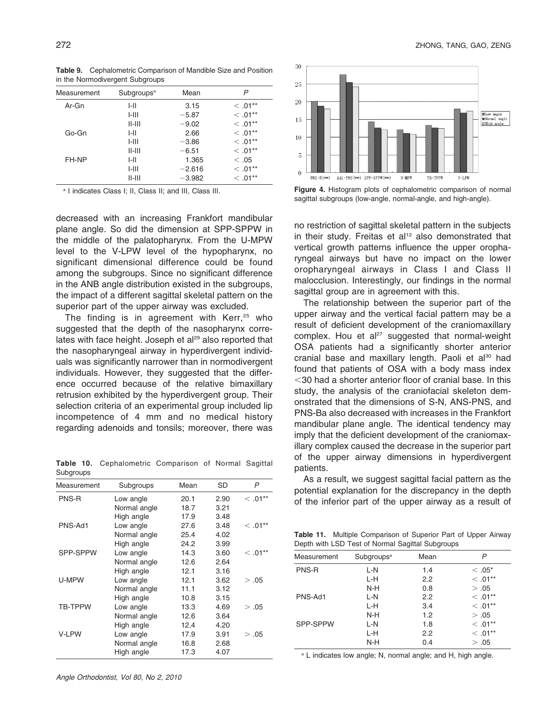|             | ີ                      |          |             |
|-------------|------------------------|----------|-------------|
| Measurement | Subgroups <sup>a</sup> | Mean     | P           |
| Ar-Gn       | I-II                   | 3.15     | $< 0.01**$  |
|             | $1 - 111$              | $-5.87$  | $< 0.01**$  |
|             | $II$ - $III$           | $-9.02$  | $< 0.01***$ |
| Go-Gn       | I-II                   | 2.66     | $<.01***$   |
|             | $1 - 111$              | $-3.86$  | $<.01***$   |
|             | $II$ - $III$           | $-6.51$  | $<.01***$   |
| FH-NP       | I-II                   | 1.365    | < 0.05      |
|             | $1 - 111$              | $-2.616$ | $< 0.01***$ |
|             | $II$ - $III$           | $-3.982$ | $< 0.01**$  |
|             |                        |          |             |

Table 9. Cephalometric Comparison of Mandible Size and Position in the Normodivergent Subgroups

<sup>a</sup> I indicates Class I; II, Class II; and III, Class III.

decreased with an increasing Frankfort mandibular plane angle. So did the dimension at SPP-SPPW in the middle of the palatopharynx. From the U-MPW level to the V-LPW level of the hypopharynx, no significant dimensional difference could be found among the subgroups. Since no significant difference in the ANB angle distribution existed in the subgroups, the impact of a different sagittal skeletal pattern on the superior part of the upper airway was excluded.

The finding is in agreement with  $Kerr<sub>1</sub><sup>25</sup>$  who suggested that the depth of the nasopharynx correlates with face height. Joseph et al<sup>29</sup> also reported that the nasopharyngeal airway in hyperdivergent individuals was significantly narrower than in normodivergent individuals. However, they suggested that the difference occurred because of the relative bimaxillary retrusion exhibited by the hyperdivergent group. Their selection criteria of an experimental group included lip incompetence of 4 mm and no medical history regarding adenoids and tonsils; moreover, there was

Table 10. Cephalometric Comparison of Normal Sagittal Subgroups

| Measurement    | Subgroups    | Mean | SD   | P          |
|----------------|--------------|------|------|------------|
| PNS-R          | Low angle    | 20.1 | 2.90 | $<.01***$  |
|                | Normal angle | 18.7 | 3.21 |            |
|                | High angle   | 17.9 | 3.48 |            |
| PNS-Ad1        | Low angle    | 27.6 | 3.48 | $< 0.01**$ |
|                | Normal angle | 25.4 | 4.02 |            |
|                | High angle   | 24.2 | 3.99 |            |
| SPP-SPPW       | Low angle    | 14.3 | 3.60 | $<$ .01**  |
|                | Normal angle | 12.6 | 2.64 |            |
|                | High angle   | 12.1 | 3.16 |            |
| U-MPW          | Low angle    | 12.1 | 3.62 | > .05      |
|                | Normal angle | 11.1 | 3.12 |            |
|                | High angle   | 10.8 | 3.15 |            |
| <b>TB-TPPW</b> | Low angle    | 13.3 | 4.69 | > .05      |
|                | Normal angle | 12.6 | 3.64 |            |
|                | High angle   | 12.4 | 4.20 |            |
| V-LPW          | Low angle    | 17.9 | 3.91 | > .05      |
|                | Normal angle | 16.8 | 2.68 |            |
|                | High angle   | 17.3 | 4.07 |            |



Figure 4. Histogram plots of cephalometric comparison of normal sagittal subgroups (low-angle, normal-angle, and high-angle).

no restriction of sagittal skeletal pattern in the subjects in their study. Freitas et al<sup>12</sup> also demonstrated that vertical growth patterns influence the upper oropharyngeal airways but have no impact on the lower oropharyngeal airways in Class I and Class II malocclusion. Interestingly, our findings in the normal sagittal group are in agreement with this.

The relationship between the superior part of the upper airway and the vertical facial pattern may be a result of deficient development of the craniomaxillary complex. Hou et al<sup>27</sup> suggested that normal-weight OSA patients had a significantly shorter anterior cranial base and maxillary length. Paoli et al<sup>30</sup> had found that patients of OSA with a body mass index  $<$  30 had a shorter anterior floor of cranial base. In this study, the analysis of the craniofacial skeleton demonstrated that the dimensions of S-N, ANS-PNS, and PNS-Ba also decreased with increases in the Frankfort mandibular plane angle. The identical tendency may imply that the deficient development of the craniomaxillary complex caused the decrease in the superior part of the upper airway dimensions in hyperdivergent patients.

As a result, we suggest sagittal facial pattern as the potential explanation for the discrepancy in the depth of the inferior part of the upper airway as a result of

Table 11. Multiple Comparison of Superior Part of Upper Airway Depth with LSD Test of Normal Sagittal Subgroups

| Measurement | Subgroups <sup>a</sup> | Mean | P          |
|-------------|------------------------|------|------------|
| PNS-R       | L-N                    | 1.4  | $<.05*$    |
|             | L-H                    | 2.2  | $< 0.01**$ |
|             | $N-H$                  | 0.8  | > .05      |
| PNS-Ad1     | L-N                    | 2.2  | $< 0.01**$ |
|             | L-H                    | 3.4  | $< 0.01**$ |
|             | N-H                    | 1.2  | > .05      |
| SPP-SPPW    | L-N                    | 1.8  | $<$ .01**  |
|             | L-H                    | 2.2  | $< 0.01**$ |
|             | N-H                    | 0.4  | > .05      |

<sup>a</sup> L indicates low angle; N, normal angle; and H, high angle.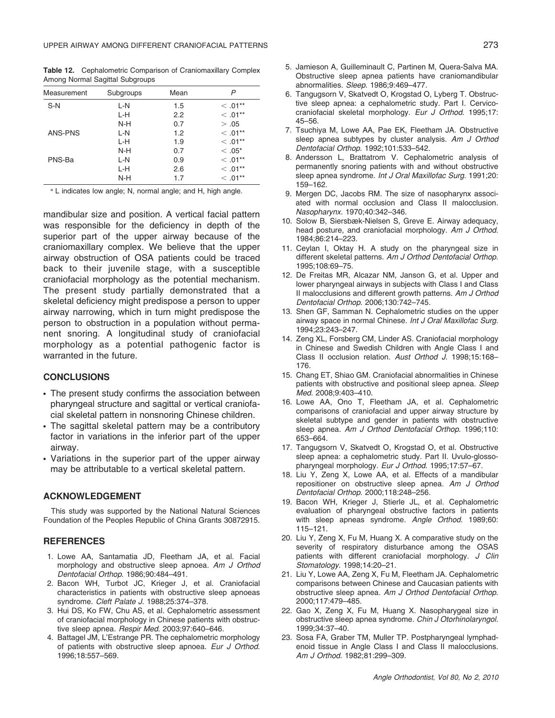Table 12. Cephalometric Comparison of Craniomaxillary Complex Among Normal Sagittal Subgroups

| Measurement | Subgroups | Mean | P          |
|-------------|-----------|------|------------|
| $S-N$       | L-N       | 1.5  | $< 0.01**$ |
|             | L-H       | 2.2  | $< 0.01**$ |
|             | N-H       | 0.7  | > .05      |
| ANS-PNS     | L-N       | 1.2  | $< 0.01**$ |
|             | L-H       | 1.9  | $< 0.01**$ |
|             | $N-H$     | 0.7  | $<.05*$    |
| PNS-Ba      | L-N       | 0.9  | $< 0.01**$ |
|             | L-H       | 2.6  | $< 0.01**$ |
|             | N-H       | 1.7  | $< .01***$ |

<sup>a</sup> L indicates low angle; N, normal angle; and H, high angle.

mandibular size and position. A vertical facial pattern was responsible for the deficiency in depth of the superior part of the upper airway because of the craniomaxillary complex. We believe that the upper airway obstruction of OSA patients could be traced back to their juvenile stage, with a susceptible craniofacial morphology as the potential mechanism. The present study partially demonstrated that a skeletal deficiency might predispose a person to upper airway narrowing, which in turn might predispose the person to obstruction in a population without permanent snoring. A longitudinal study of craniofacial morphology as a potential pathogenic factor is warranted in the future.

## **CONCLUSIONS**

- The present study confirms the association between pharyngeal structure and sagittal or vertical craniofacial skeletal pattern in nonsnoring Chinese children.
- The sagittal skeletal pattern may be a contributory factor in variations in the inferior part of the upper airway.
- Variations in the superior part of the upper airway may be attributable to a vertical skeletal pattern.

#### ACKNOWLEDGEMENT

This study was supported by the National Natural Sciences Foundation of the Peoples Republic of China Grants 30872915.

#### **REFERENCES**

- 1. Lowe AA, Santamatia JD, Fleetham JA, et al. Facial morphology and obstructive sleep apnoea. Am J Orthod Dentofacial Orthop. 1986;90:484–491.
- 2. Bacon WH, Turbot JC, Krieger J, et al. Craniofacial characteristics in patients with obstructive sleep apnoeas syndrome. Cleft Palate J. 1988;25:374–378.
- 3. Hui DS, Ko FW, Chu AS, et al. Cephalometric assessment of craniofacial morphology in Chinese patients with obstructive sleep apnea. Respir Med. 2003;97:640–646.
- 4. Battagel JM, L'Estrange PR. The cephalometric morphology of patients with obstructive sleep apnoea. Eur J Orthod. 1996;18:557–569.
- 5. Jamieson A, Guilleminault C, Partinen M, Quera-Salva MA. Obstructive sleep apnea patients have craniomandibular abnormalities. Sleep. 1986;9:469–477.
- 6. Tangugsorn V, Skatvedt O, Krogstad O, Lyberg T. Obstructive sleep apnea: a cephalometric study. Part I. Cervicocraniofacial skeletal morphology. Eur J Orthod. 1995;17: 45–56.
- 7. Tsuchiya M, Lowe AA, Pae EK, Fleetham JA. Obstructive sleep apnea subtypes by cluster analysis. Am J Orthod Dentofacial Orthop. 1992;101:533–542.
- 8. Andersson L, Brattatrom V. Cephalometric analysis of permanently snoring patients with and without obstructive sleep apnea syndrome. Int J Oral Maxillofac Surg. 1991;20: 159–162.
- 9. Mergen DC, Jacobs RM. The size of nasopharynx associated with normal occlusion and Class II malocclusion. Nasopharynx. 1970;40:342–346.
- 10. Solow B, Siersbæk-Nielsen S, Greve E. Airway adequacy, head posture, and craniofacial morphology. Am J Orthod. 1984;86:214–223.
- 11. Ceylan I, Oktay H. A study on the pharyngeal size in different skeletal patterns. Am J Orthod Dentofacial Orthop. 1995;108:69–75.
- 12. De Freitas MR, Alcazar NM, Janson G, et al. Upper and lower pharyngeal airways in subjects with Class I and Class II malocclusions and different growth patterns. Am J Orthod Dentofacial Orthop. 2006;130:742–745.
- 13. Shen GF, Samman N. Cephalometric studies on the upper airway space in normal Chinese. Int J Oral Maxillofac Surg. 1994;23:243–247.
- 14. Zeng XL, Forsberg CM, Linder AS. Craniofacial morphology in Chinese and Swedish Children with Angle Class I and Class II occlusion relation. Aust Orthod J. 1998;15:168– 176.
- 15. Chang ET, Shiao GM. Craniofacial abnormalities in Chinese patients with obstructive and positional sleep apnea. Sleep Med. 2008;9:403–410.
- 16. Lowe AA, Ono T, Fleetham JA, et al. Cephalometric comparisons of craniofacial and upper airway structure by skeletal subtype and gender in patients with obstructive sleep apnea. Am J Orthod Dentofacial Orthop. 1996;110: 653–664.
- 17. Tangugsorn V, Skatvedt O, Krogstad O, et al. Obstructive sleep apnea: a cephalometric study. Part II. Uvulo-glossopharyngeal morphology. Eur J Orthod. 1995;17:57–67.
- 18. Liu Y, Zeng X, Lowe AA, et al. Effects of a mandibular repositioner on obstructive sleep apnea. Am J Orthod Dentofacial Orthop. 2000;118:248–256.
- 19. Bacon WH, Krieger J, Stierle JL, et al. Cephalometric evaluation of pharyngeal obstructive factors in patients with sleep apneas syndrome. Angle Orthod. 1989;60: 115–121.
- 20. Liu Y, Zeng X, Fu M, Huang X. A comparative study on the severity of respiratory disturbance among the OSAS patients with different craniofacial morphology. J Clin Stomatology. 1998;14:20–21.
- 21. Liu Y, Lowe AA, Zeng X, Fu M, Fleetham JA. Cephalometric comparisons between Chinese and Caucasian patients with obstructive sleep apnea. Am J Orthod Dentofacial Orthop. 2000;117:479–485.
- 22. Gao X, Zeng X, Fu M, Huang X. Nasopharygeal size in obstructive sleep apnea syndrome. Chin J Otorhinolaryngol. 1999;34:37–40.
- 23. Sosa FA, Graber TM, Muller TP. Postpharyngeal lymphadenoid tissue in Angle Class I and Class II malocclusions. Am J Orthod. 1982;81:299–309.